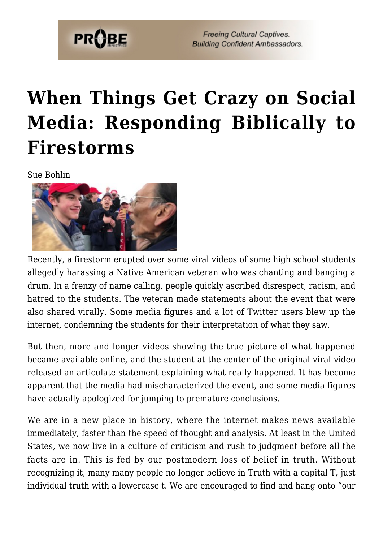

**Freeing Cultural Captives. Building Confident Ambassadors.** 

## **[When Things Get Crazy on Social](https://probe.org/when-things-get-crazy-on-social-media-responding-biblically-to-firestorms/) [Media: Responding Biblically to](https://probe.org/when-things-get-crazy-on-social-media-responding-biblically-to-firestorms/) [Firestorms](https://probe.org/when-things-get-crazy-on-social-media-responding-biblically-to-firestorms/)**

Sue Bohlin



Recently, a firestorm erupted over some viral videos of some high school students allegedly harassing a Native American veteran who was chanting and banging a drum. In a frenzy of name calling, people quickly ascribed disrespect, racism, and hatred to the students. The veteran made statements about the event that were also shared virally. Some media figures and a lot of Twitter users blew up the internet, condemning the students for their interpretation of what they saw.

But then, more and longer videos showing the true picture of what happened became available online, and the student at the center of the original viral video released an articulate statement explaining what really happened. It has become apparent that the media had mischaracterized the event, and some media figures have actually apologized for jumping to premature conclusions.

We are in a new place in history, where the internet makes news available immediately, faster than the speed of thought and analysis. At least in the United States, we now live in a culture of criticism and rush to judgment before all the facts are in. This is fed by our postmodern loss of belief in truth. Without recognizing it, many many people no longer believe in Truth with a capital T, just individual truth with a lowercase t. We are encouraged to find and hang onto "our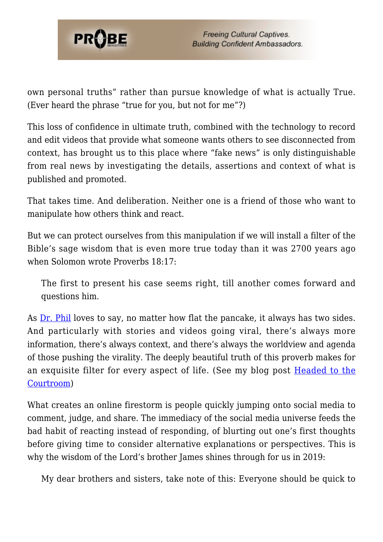

own personal truths" rather than pursue knowledge of what is actually True. (Ever heard the phrase "true for you, but not for me"?)

This loss of confidence in ultimate truth, combined with the technology to record and edit videos that provide what someone wants others to see disconnected from context, has brought us to this place where "fake news" is only distinguishable from real news by investigating the details, assertions and context of what is published and promoted.

That takes time. And deliberation. Neither one is a friend of those who want to manipulate how others think and react.

But we can protect ourselves from this manipulation if we will install a filter of the Bible's sage wisdom that is even more true today than it was 2700 years ago when Solomon wrote Proverbs 18:17:

The first to present his case seems right, till another comes forward and questions him.

As <u>[Dr. Phil](https://www.probe.org/watching-dr-phil-through-a-discernment-filter/)</u> loves to say, no matter how flat the pancake, it always has two sides. And particularly with stories and videos going viral, there's always more information, there's always context, and there's always the worldview and agenda of those pushing the virality. The deeply beautiful truth of this proverb makes for an exquisite filter for every aspect of life. (See my blog post [Headed to the](https://www.probe.org/headed-to-the-courtroom/) [Courtroom\)](https://www.probe.org/headed-to-the-courtroom/)

What creates an online firestorm is people quickly jumping onto social media to comment, judge, and share. The immediacy of the social media universe feeds the bad habit of reacting instead of responding, of blurting out one's first thoughts before giving time to consider alternative explanations or perspectives. This is why the wisdom of the Lord's brother James shines through for us in 2019:

My dear brothers and sisters, take note of this: Everyone should be quick to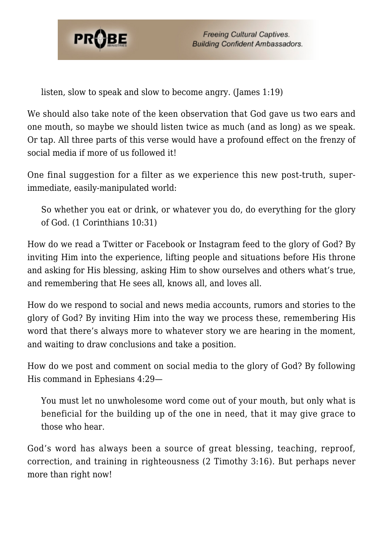

listen, slow to speak and slow to become angry. (James 1:19)

We should also take note of the keen observation that God gave us two ears and one mouth, so maybe we should listen twice as much (and as long) as we speak. Or tap. All three parts of this verse would have a profound effect on the frenzy of social media if more of us followed it!

One final suggestion for a filter as we experience this new post-truth, superimmediate, easily-manipulated world:

So whether you eat or drink, or whatever you do, do everything for the glory of God. (1 Corinthians 10:31)

How do we read a Twitter or Facebook or Instagram feed to the glory of God? By inviting Him into the experience, lifting people and situations before His throne and asking for His blessing, asking Him to show ourselves and others what's true, and remembering that He sees all, knows all, and loves all.

How do we respond to social and news media accounts, rumors and stories to the glory of God? By inviting Him into the way we process these, remembering His word that there's always more to whatever story we are hearing in the moment, and waiting to draw conclusions and take a position.

How do we post and comment on social media to the glory of God? By following His command in Ephesians 4:29—

You must let no unwholesome word come out of your mouth, but only what is beneficial for the building up of the one in need, that it may give grace to those who hear.

God's word has always been a source of great blessing, teaching, reproof, correction, and training in righteousness (2 Timothy 3:16). But perhaps never more than right now!